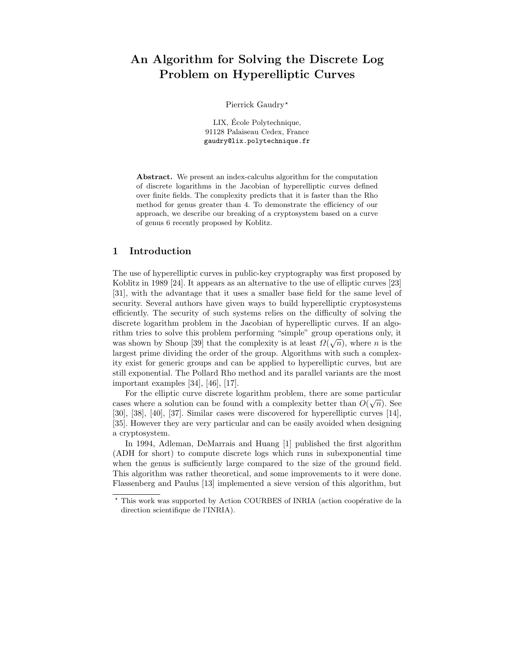# An Algorithm for Solving the Discrete Log Problem on Hyperelliptic Curves

Pierrick Gaudry\*

LIX, École Polytechnique, 91128 Palaiseau Cedex, France gaudry@lix.polytechnique.fr

Abstract. We present an index-calculus algorithm for the computation of discrete logarithms in the Jacobian of hyperelliptic curves defined over finite fields. The complexity predicts that it is faster than the Rho method for genus greater than 4. To demonstrate the efficiency of our approach, we describe our breaking of a cryptosystem based on a curve of genus 6 recently proposed by Koblitz.

### 1 Introduction

The use of hyperelliptic curves in public-key cryptography was first proposed by Koblitz in 1989 [24]. It appears as an alternative to the use of elliptic curves [23] [31], with the advantage that it uses a smaller base field for the same level of security. Several authors have given ways to build hyperelliptic cryptosystems efficiently. The security of such systems relies on the difficulty of solving the discrete logarithm problem in the Jacobian of hyperelliptic curves. If an algorithm tries to solve this problem performing "simple" group operations only, it was shown by Shoup [39] that the complexity is at least  $\Omega(\sqrt{n})$ , where *n* is the largest prime dividing the order of the group. Algorithms with such a complexity exist for generic groups and can be applied to hyperelliptic curves, but are still exponential. The Pollard Rho method and its parallel variants are the most important examples [34], [46], [17].

For the elliptic curve discrete logarithm problem, there are some particular cases where a solution can be found with a complexity better than  $O(\sqrt{n})$ . See [30], [38], [40], [37]. Similar cases were discovered for hyperelliptic curves [14], [35]. However they are very particular and can be easily avoided when designing a cryptosystem.

In 1994, Adleman, DeMarrais and Huang [1] published the first algorithm (ADH for short) to compute discrete logs which runs in subexponential time when the genus is sufficiently large compared to the size of the ground field. This algorithm was rather theoretical, and some improvements to it were done. Flassenberg and Paulus [13] implemented a sieve version of this algorithm, but

This work was supported by Action COURBES of INRIA (action coopérative de la direction scientifique de l'INRIA).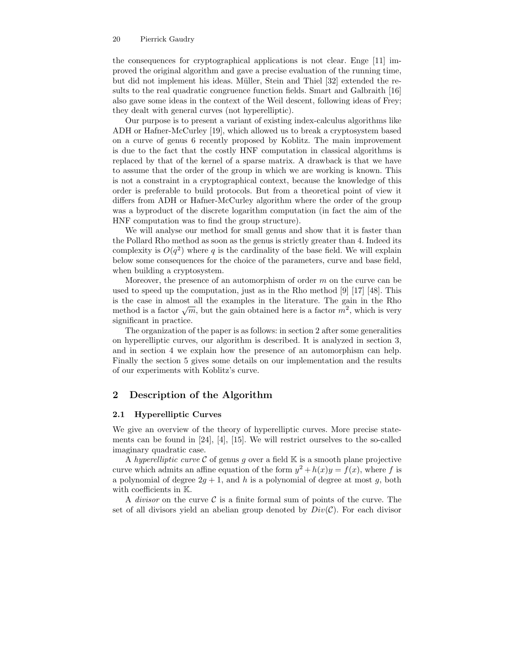the consequences for cryptographical applications is not clear. Enge [11] improved the original algorithm and gave a precise evaluation of the running time, but did not implement his ideas. Müller, Stein and Thiel [32] extended the results to the real quadratic congruence function fields. Smart and Galbraith [16] also gave some ideas in the context of the Weil descent, following ideas of Frey; they dealt with general curves (not hyperelliptic).

Our purpose is to present a variant of existing index-calculus algorithms like ADH or Hafner-McCurley [19], which allowed us to break a cryptosystem based on a curve of genus 6 recently proposed by Koblitz. The main improvement is due to the fact that the costly HNF computation in classical algorithms is replaced by that of the kernel of a sparse matrix. A drawback is that we have to assume that the order of the group in which we are working is known. This is not a constraint in a cryptographical context, because the knowledge of this order is preferable to build protocols. But from a theoretical point of view it differs from ADH or Hafner-McCurley algorithm where the order of the group was a byproduct of the discrete logarithm computation (in fact the aim of the HNF computation was to find the group structure).

We will analyse our method for small genus and show that it is faster than the Pollard Rho method as soon as the genus is strictly greater than 4. Indeed its complexity is  $O(q^2)$  where q is the cardinality of the base field. We will explain below some consequences for the choice of the parameters, curve and base field, when building a cryptosystem.

Moreover, the presence of an automorphism of order  $m$  on the curve can be used to speed up the computation, just as in the Rho method [9] [17] [48]. This is the case in almost all the examples in the literature. The gain in the Rho method is a factor  $\sqrt{m}$ , but the gain obtained here is a factor  $m^2$ , which is very significant in practice.

The organization of the paper is as follows: in section 2 after some generalities on hyperelliptic curves, our algorithm is described. It is analyzed in section 3, and in section 4 we explain how the presence of an automorphism can help. Finally the section 5 gives some details on our implementation and the results of our experiments with Koblitz's curve.

# 2 Description of the Algorithm

### 2.1 Hyperelliptic Curves

We give an overview of the theory of hyperelliptic curves. More precise statements can be found in [24], [4], [15]. We will restrict ourselves to the so-called imaginary quadratic case.

A hyperelliptic curve  $\mathcal C$  of genus g over a field  $\mathbb K$  is a smooth plane projective curve which admits an affine equation of the form  $y^2 + h(x)y = f(x)$ , where f is a polynomial of degree  $2g + 1$ , and h is a polynomial of degree at most g, both with coefficients in K.

A *divisor* on the curve  $\mathcal C$  is a finite formal sum of points of the curve. The set of all divisors yield an abelian group denoted by  $Div(C)$ . For each divisor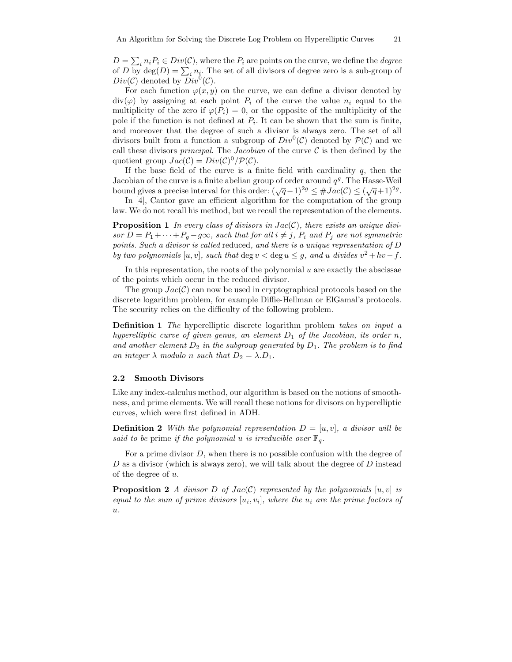$D = \sum_i n_i P_i \in Div(C)$ , where the  $P_i$  are points on the curve, we define the *degree* of D by  $\deg(D) = \sum_i n_i$ . The set of all divisors of degree zero is a sub-group of  $Div(C)$  denoted by  $Div^0(C)$ .

For each function  $\varphi(x, y)$  on the curve, we can define a divisor denoted by  $div(\varphi)$  by assigning at each point  $P_i$  of the curve the value  $n_i$  equal to the multiplicity of the zero if  $\varphi(P_i) = 0$ , or the opposite of the multiplicity of the pole if the function is not defined at  $P_i$ . It can be shown that the sum is finite, and moreover that the degree of such a divisor is always zero. The set of all divisors built from a function a subgroup of  $Div^0(C)$  denoted by  $P(C)$  and we call these divisors *principal*. The *Jacobian* of the curve  $C$  is then defined by the quotient group  $Jac(C) = Div(C)^0/\mathcal{P}(\mathcal{C})$ .

If the base field of the curve is a finite field with cardinality  $q$ , then the Jacobian of the curve is a finite abelian group of order around  $q<sup>g</sup>$ . The Hasse-Weil bound gives a precise interval for this order:  $(\sqrt{q}-1)^{2g} \leq #Jac(\mathcal{C}) \leq (\sqrt{q}+1)^{2g}$ .

In [4], Cantor gave an efficient algorithm for the computation of the group law. We do not recall his method, but we recall the representation of the elements.

**Proposition 1** In every class of divisors in  $Jac(C)$ , there exists an unique divisor  $D = P_1 + \cdots + P_q - q\infty$ , such that for all  $i \neq j$ ,  $P_i$  and  $P_j$  are not symmetric points. Such a divisor is called reduced, and there is a unique representation of D by two polynomials  $[u, v]$ , such that  $\deg v < \deg u \leq g$ , and u divides  $v^2 + hv - f$ .

In this representation, the roots of the polynomial  $u$  are exactly the abscissae of the points which occur in the reduced divisor.

The group  $Jac(C)$  can now be used in cryptographical protocols based on the discrete logarithm problem, for example Diffie-Hellman or ElGamal's protocols. The security relies on the difficulty of the following problem.

Definition 1 The hyperelliptic discrete logarithm problem takes on input a hyperelliptic curve of given genus, an element  $D_1$  of the Jacobian, its order n, and another element  $D_2$  in the subgroup generated by  $D_1$ . The problem is to find an integer  $\lambda$  modulo n such that  $D_2 = \lambda D_1$ .

### 2.2 Smooth Divisors

Like any index-calculus method, our algorithm is based on the notions of smoothness, and prime elements. We will recall these notions for divisors on hyperelliptic curves, which were first defined in ADH.

**Definition 2** With the polynomial representation  $D = [u, v]$ , a divisor will be said to be prime if the polynomial u is irreducible over  $\mathbb{F}_q$ .

For a prime divisor  $D$ , when there is no possible confusion with the degree of  $D$  as a divisor (which is always zero), we will talk about the degree of  $D$  instead of the degree of u.

**Proposition 2** A divisor D of Jac(C) represented by the polynomials  $[u, v]$  is equal to the sum of prime divisors  $[u_i, v_i]$ , where the  $u_i$  are the prime factors of u.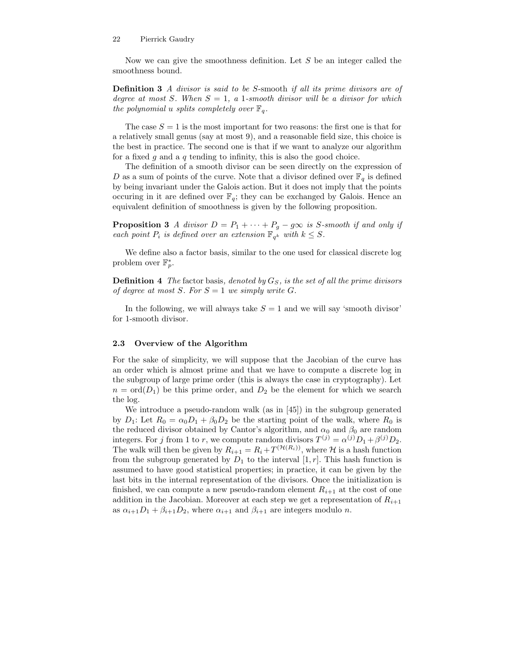Now we can give the smoothness definition. Let S be an integer called the smoothness bound.

Definition 3 A divisor is said to be S-smooth if all its prime divisors are of degree at most S. When  $S = 1$ , a 1-smooth divisor will be a divisor for which the polynomial u splits completely over  $\mathbb{F}_q$ .

The case  $S = 1$  is the most important for two reasons: the first one is that for a relatively small genus (say at most 9), and a reasonable field size, this choice is the best in practice. The second one is that if we want to analyze our algorithm for a fixed q and a q tending to infinity, this is also the good choice.

The definition of a smooth divisor can be seen directly on the expression of D as a sum of points of the curve. Note that a divisor defined over  $\mathbb{F}_q$  is defined by being invariant under the Galois action. But it does not imply that the points occuring in it are defined over  $\mathbb{F}_q$ ; they can be exchanged by Galois. Hence an equivalent definition of smoothness is given by the following proposition.

**Proposition 3** A divisor  $D = P_1 + \cdots + P_g - g\infty$  is S-smooth if and only if each point  $P_i$  is defined over an extension  $\mathbb{F}_{q^k}$  with  $k \leq S$ .

We define also a factor basis, similar to the one used for classical discrete log problem over  $\mathbb{F}_p^*$ .

**Definition 4** The factor basis, denoted by  $G<sub>S</sub>$ , is the set of all the prime divisors of degree at most S. For  $S = 1$  we simply write G.

In the following, we will always take  $S = 1$  and we will say 'smooth divisor' for 1-smooth divisor.

### 2.3 Overview of the Algorithm

For the sake of simplicity, we will suppose that the Jacobian of the curve has an order which is almost prime and that we have to compute a discrete log in the subgroup of large prime order (this is always the case in cryptography). Let  $n = \text{ord}(D_1)$  be this prime order, and  $D_2$  be the element for which we search the log.

We introduce a pseudo-random walk (as in [45]) in the subgroup generated by  $D_1$ : Let  $R_0 = \alpha_0 D_1 + \beta_0 D_2$  be the starting point of the walk, where  $R_0$  is the reduced divisor obtained by Cantor's algorithm, and  $\alpha_0$  and  $\beta_0$  are random integers. For j from 1 to r, we compute random divisors  $T^{(j)} = \alpha^{(j)} D_1 + \beta^{(j)} D_2$ . The walk will then be given by  $R_{i+1} = R_i + T^{(\mathcal{H}(R_i))}$ , where  $\mathcal{H}$  is a hash function from the subgroup generated by  $D_1$  to the interval  $[1, r]$ . This hash function is assumed to have good statistical properties; in practice, it can be given by the last bits in the internal representation of the divisors. Once the initialization is finished, we can compute a new pseudo-random element  $R_{i+1}$  at the cost of one addition in the Jacobian. Moreover at each step we get a representation of  $R_{i+1}$ as  $\alpha_{i+1}D_1 + \beta_{i+1}D_2$ , where  $\alpha_{i+1}$  and  $\beta_{i+1}$  are integers modulo n.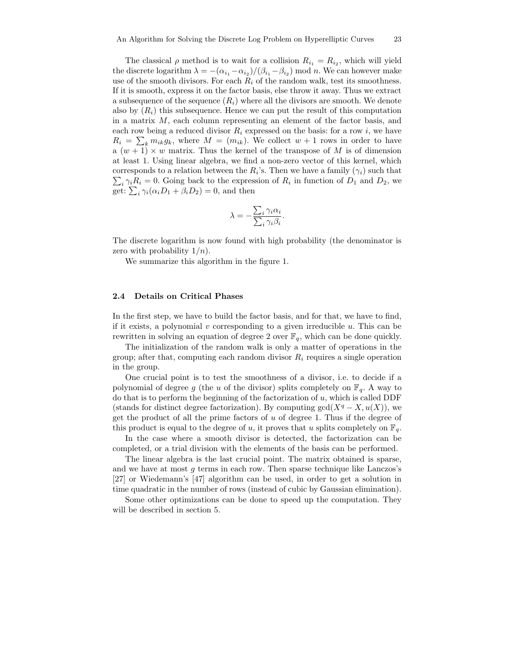The classical  $\rho$  method is to wait for a collision  $R_{i_1} = R_{i_2}$ , which will yield the discrete logarithm  $\lambda = -(\alpha_{i_1} - \alpha_{i_2})/(\beta_{i_1} - \beta_{i_2}) \mod n$ . We can however make use of the smooth divisors. For each  $R_i$  of the random walk, test its smoothness. If it is smooth, express it on the factor basis, else throw it away. Thus we extract a subsequence of the sequence  $(R_i)$  where all the divisors are smooth. We denote also by  $(R_i)$  this subsequence. Hence we can put the result of this computation in a matrix M, each column representing an element of the factor basis, and each row being a reduced divisor  $R_i$  expressed on the basis: for a row i, we have  $R_i = \sum_k m_{ik}g_k$ , where  $M = (m_{ik})$ . We collect  $w + 1$  rows in order to have a  $(w + 1) \times w$  matrix. Thus the kernel of the transpose of M is of dimension at least 1. Using linear algebra, we find a non-zero vector of this kernel, which corresponds to a relation between the  $R_i$ 's. Then we have a family  $(\gamma_i)$  such that  $\sum_i \gamma_i R_i = 0$ . Going back to the expression of  $R_i$  in function of  $D_1$  and  $D_2$ , we get:  $\sum_i \gamma_i (\alpha_i D_1 + \beta_i D_2) = 0$ , and then

$$
\lambda = -\frac{\sum_{i} \gamma_i \alpha_i}{\sum_{i} \gamma_i \beta_i}.
$$

The discrete logarithm is now found with high probability (the denominator is zero with probability  $1/n$ .

We summarize this algorithm in the figure 1.

### 2.4 Details on Critical Phases

In the first step, we have to build the factor basis, and for that, we have to find, if it exists, a polynomial  $v$  corresponding to a given irreducible  $u$ . This can be rewritten in solving an equation of degree 2 over  $\mathbb{F}_q$ , which can be done quickly.

The initialization of the random walk is only a matter of operations in the group; after that, computing each random divisor  $R_i$  requires a single operation in the group.

One crucial point is to test the smoothness of a divisor, i.e. to decide if a polynomial of degree g (the u of the divisor) splits completely on  $\mathbb{F}_q$ . A way to do that is to perform the beginning of the factorization of  $u$ , which is called DDF (stands for distinct degree factorization). By computing  $gcd(X^q - X, u(X))$ , we get the product of all the prime factors of  $u$  of degree 1. Thus if the degree of this product is equal to the degree of u, it proves that u splits completely on  $\mathbb{F}_q$ .

In the case where a smooth divisor is detected, the factorization can be completed, or a trial division with the elements of the basis can be performed.

The linear algebra is the last crucial point. The matrix obtained is sparse, and we have at most  $g$  terms in each row. Then sparse technique like Lanczos's [27] or Wiedemann's [47] algorithm can be used, in order to get a solution in time quadratic in the number of rows (instead of cubic by Gaussian elimination).

Some other optimizations can be done to speed up the computation. They will be described in section 5.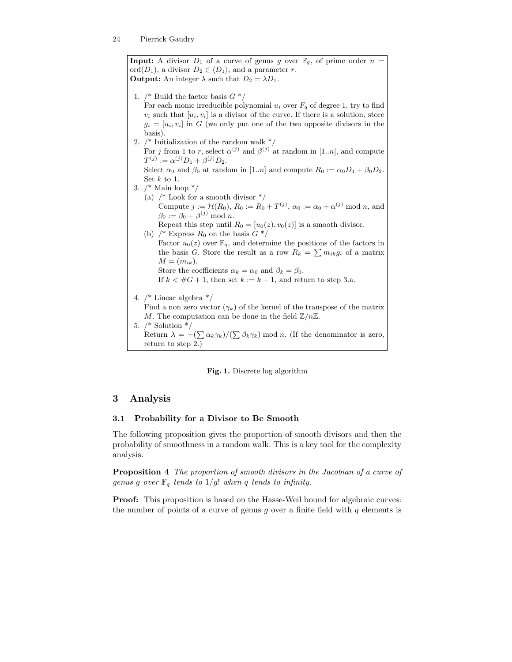**Input:** A divisor  $D_1$  of a curve of genus g over  $\mathbb{F}_q$ , of prime order  $n =$ ord $(D_1)$ , a divisor  $D_2 \in \langle D_1 \rangle$ , and a parameter r. **Output:** An integer  $\lambda$  such that  $D_2 = \lambda D_1$ .

- 1.  $/*$  Build the factor basis  $G^*/$ For each monic irreducible polynomial  $u_i$  over  $F_q$  of degree 1, try to find  $v_i$  such that  $[u_i, v_i]$  is a divisor of the curve. If there is a solution, store  $g_i = [u_i, v_i]$  in G (we only put one of the two opposite divisors in the basis). 2.  $/*$  Initialization of the random walk  $*/$
- For j from 1 to r, select  $\alpha^{(j)}$  and  $\beta^{(j)}$  at random in [1.*n*], and compute  $T^{(j)} := \alpha^{(j)} D_1 + \beta^{(j)} D_2.$ Select  $\alpha_0$  and  $\beta_0$  at random in [1..*n*] and compute  $R_0 := \alpha_0 D_1 + \beta_0 D_2$ .

Set  $k$  to 1.

- 3. /\* Main loop \*/
	- (a)  $/*$  Look for a smooth divisor  $*/$ Compute  $j := \mathcal{H}(R_0), R_0 := R_0 + T^{(j)}, \alpha_0 := \alpha_0 + \alpha^{(j)} \mod n$ , and  $\beta_0 := \beta_0 + \beta^{(j)} \bmod n.$

Repeat this step until  $R_0 = [u_0(z), v_0(z)]$  is a smooth divisor.

(b)  $\frac{1}{8}$  Express  $R_0$  on the basis  $G \frac{1}{8}$ Factor  $u_0(z)$  over  $\mathbb{F}_q$ , and determine the positions of the factors in the basis G. Store the result as a row  $R_k = \sum m_{ik}g_i$  of a matrix  $M = (m_{ik}).$ Store the coefficients  $\alpha_k = \alpha_0$  and  $\beta_k = \beta_0$ .

If  $k < \#G + 1$ , then set  $k := k + 1$ , and return to step 3.a.

4. /\* Linear algebra \*/

Find a non zero vector  $(\gamma_k)$  of the kernel of the transpose of the matrix M. The computation can be done in the field  $\mathbb{Z}/n\mathbb{Z}$ .

5. /\* Solution \*/

Return  $\lambda = -\frac{\sum \alpha_k \gamma_k}{\sum \beta_k \gamma_k}$  mod n. (If the denominator is zero, return to step 2.)

### Fig. 1. Discrete log algorithm

# 3 Analysis

# 3.1 Probability for a Divisor to Be Smooth

The following proposition gives the proportion of smooth divisors and then the probability of smoothness in a random walk. This is a key tool for the complexity analysis.

Proposition 4 The proportion of smooth divisors in the Jacobian of a curve of genus g over  $\mathbb{F}_q$  tends to  $1/g!$  when q tends to infinity.

**Proof:** This proposition is based on the Hasse-Weil bound for algebraic curves: the number of points of a curve of genus  $q$  over a finite field with  $q$  elements is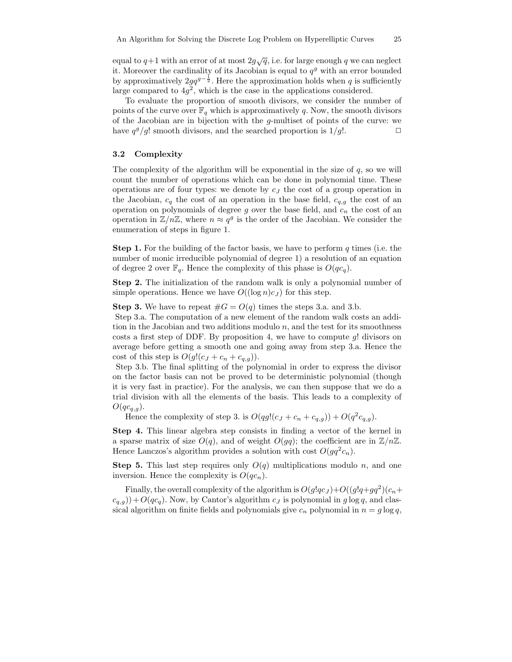equal to  $q+1$  with an error of at most  $2g\sqrt{q}$ , i.e. for large enough q we can neglect it. Moreover the cardinality of its Jacobian is equal to  $q<sup>g</sup>$  with an error bounded by approximatively  $2gq^{g-\frac{1}{2}}$ . Here the approximation holds when q is sufficiently large compared to  $4g^2$ , which is the case in the applications considered.

To evaluate the proportion of smooth divisors, we consider the number of points of the curve over  $\mathbb{F}_q$  which is approximatively q. Now, the smooth divisors of the Jacobian are in bijection with the  $q$ -multiset of points of the curve: we have  $q^g/g!$  smooth divisors, and the searched proportion is  $1/g!$ .

#### 3.2 Complexity

The complexity of the algorithm will be exponential in the size of  $q$ , so we will count the number of operations which can be done in polynomial time. These operations are of four types: we denote by  $c_J$  the cost of a group operation in the Jacobian,  $c_q$  the cost of an operation in the base field,  $c_{q,g}$  the cost of an operation on polynomials of degree g over the base field, and  $c_n$  the cost of an operation in  $\mathbb{Z}/n\mathbb{Z}$ , where  $n \approx q^g$  is the order of the Jacobian. We consider the enumeration of steps in figure 1.

**Step 1.** For the building of the factor basis, we have to perform  $q$  times (i.e. the number of monic irreducible polynomial of degree 1) a resolution of an equation of degree 2 over  $\mathbb{F}_q$ . Hence the complexity of this phase is  $O(qc_q)$ .

Step 2. The initialization of the random walk is only a polynomial number of simple operations. Hence we have  $O((\log n)c_J)$  for this step.

**Step 3.** We have to repeat  $#G = O(q)$  times the steps 3.a. and 3.b.

Step 3.a. The computation of a new element of the random walk costs an addition in the Jacobian and two additions modulo  $n$ , and the test for its smoothness costs a first step of DDF. By proposition 4, we have to compute  $q!$  divisors on average before getting a smooth one and going away from step 3.a. Hence the cost of this step is  $O(g!(c_J + c_n + c_{q,q}))$ .

Step 3.b. The final splitting of the polynomial in order to express the divisor on the factor basis can not be proved to be deterministic polynomial (though it is very fast in practice). For the analysis, we can then suppose that we do a trial division with all the elements of the basis. This leads to a complexity of  $O(qc_{q,q}).$ 

Hence the complexity of step 3. is  $O(qg!(c_J + c_n + c_{q,g})) + O(q^2c_{q,g}).$ 

Step 4. This linear algebra step consists in finding a vector of the kernel in a sparse matrix of size  $O(q)$ , and of weight  $O(gq)$ ; the coefficient are in  $\mathbb{Z}/n\mathbb{Z}$ . Hence Lanczos's algorithm provides a solution with cost  $O(gq^2c_n)$ .

**Step 5.** This last step requires only  $O(q)$  multiplications modulo n, and one inversion. Hence the complexity is  $O(qc_n)$ .

Finally, the overall complexity of the algorithm is  $O(g!qc_J)+O((g!q+gq^2)(c_n+q^2))$  $(c_{q,q})+O(qc_q)$ . Now, by Cantor's algorithm  $c_j$  is polynomial in g log q, and classical algorithm on finite fields and polynomials give  $c_n$  polynomial in  $n = g \log q$ ,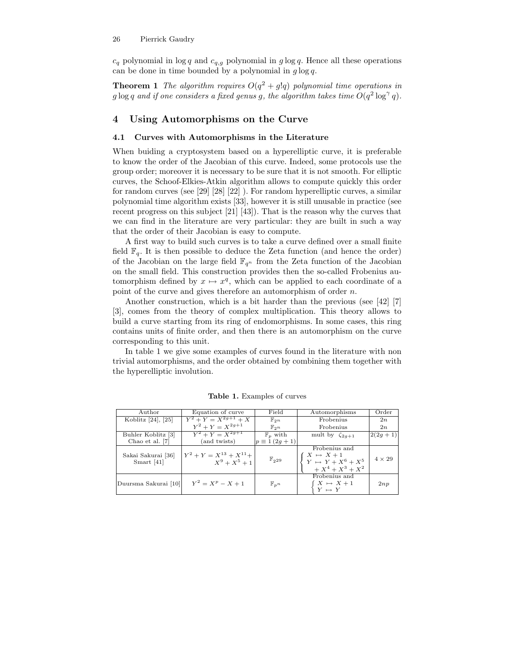$c_q$  polynomial in  $\log q$  and  $c_{q,g}$  polynomial in  $g \log q$ . Hence all these operations can be done in time bounded by a polynomial in  $q \log q$ .

**Theorem 1** The algorithm requires  $O(q^2 + g!q)$  polynomial time operations in  $g\log q$  and if one considers a fixed genus g, the algorithm takes time  $\overline{O(q^2\log^\gamma q)}.$ 

# 4 Using Automorphisms on the Curve

# 4.1 Curves with Automorphisms in the Literature

When buiding a cryptosystem based on a hyperelliptic curve, it is preferable to know the order of the Jacobian of this curve. Indeed, some protocols use the group order; moreover it is necessary to be sure that it is not smooth. For elliptic curves, the Schoof-Elkies-Atkin algorithm allows to compute quickly this order for random curves (see [29] [28] [22] ). For random hyperelliptic curves, a similar polynomial time algorithm exists [33], however it is still unusable in practice (see recent progress on this subject [21] [43]). That is the reason why the curves that we can find in the literature are very particular: they are built in such a way that the order of their Jacobian is easy to compute.

A first way to build such curves is to take a curve defined over a small finite field  $\mathbb{F}_q$ . It is then possible to deduce the Zeta function (and hence the order) of the Jacobian on the large field  $\mathbb{F}_{q^n}$  from the Zeta function of the Jacobian on the small field. This construction provides then the so-called Frobenius automorphism defined by  $x \mapsto x^q$ , which can be applied to each coordinate of a point of the curve and gives therefore an automorphism of order n.

Another construction, which is a bit harder than the previous (see [42] [7] [3], comes from the theory of complex multiplication. This theory allows to build a curve starting from its ring of endomorphisms. In some cases, this ring contains units of finite order, and then there is an automorphism on the curve corresponding to this unit.

In table 1 we give some examples of curves found in the literature with non trivial automorphisms, and the order obtained by combining them together with the hyperelliptic involution.

| Author                             | Equation of curve                                 | Field                | Automorphisms                                                                   | Order         |
|------------------------------------|---------------------------------------------------|----------------------|---------------------------------------------------------------------------------|---------------|
| Koblitz [24], [25]                 | $Y^2 + Y = X^{2g+1} + X$                          | $\mathbb{F}_{2^n}$   | Frobenius                                                                       | 2n            |
|                                    | $Y^2 + Y = X^{2g+1}$                              | $\mathbb{F}_{2^n}$   | Frobenius                                                                       | 2n            |
| Buhler Koblitz [3]                 | $Y^2 + Y = X^{2g+1}$                              | $\mathbb{F}_n$ with  | mult by $\zeta_{2q+1}$                                                          | $2(2q+1)$     |
| Chao et al. [7]                    | (and twists)                                      | $p \equiv 1(2g + 1)$ |                                                                                 |               |
| Sakai Sakurai [36]<br>Smart $[41]$ | $Y^2 + Y = X^{13} + X^{11} +$<br>$X^9 + X^5 + 11$ | $\mathbb{F}_{229}$   | Frobenius and<br>$X \mapsto X+1$<br>$Y \mapsto Y + X^6 + X^5$<br>$+X^4+X^3+X^2$ | $4 \times 29$ |
| Duursma Sakurai [10]               | $Y^2 = X^p - X + 1$                               | $\mathbb{F}_{n}$     | Frobenius and<br>$X \mapsto X+1$<br>$Y \mapsto Y$                               | 2np           |

Table 1. Examples of curves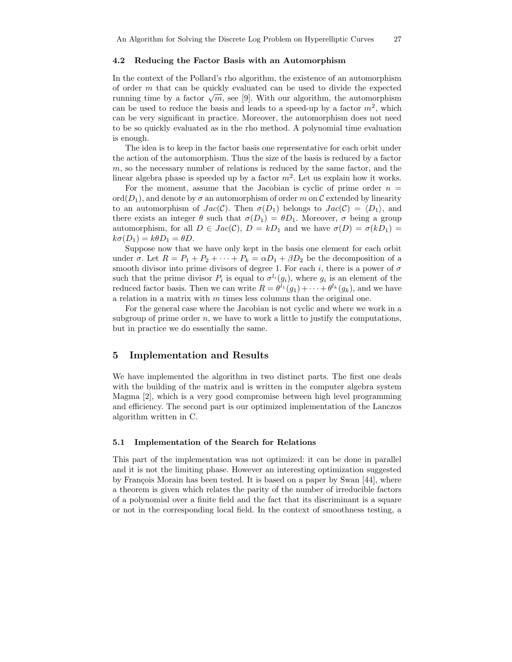#### 4.2 Reducing the Factor Basis with an Automorphism

In the context of the Pollard's rho algorithm, the existence of an automorphism of order m that can be quickly evaluated can be used to divide the expected running time by a factor  $\sqrt{m}$ , see [9]. With our algorithm, the automorphism can be used to reduce the basis and leads to a speed-up by a factor  $m^2$ , which can be very significant in practice. Moreover, the automorphism does not need to be so quickly evaluated as in the rho method. A polynomial time evaluation is enough.

The idea is to keep in the factor basis one representative for each orbit under the action of the automorphism. Thus the size of the basis is reduced by a factor  $m$ , so the necessary number of relations is reduced by the same factor, and the linear algebra phase is speeded up by a factor  $m^2$ . Let us explain how it works.

For the moment, assume that the Jacobian is cyclic of prime order  $n =$ ord $(D_1)$ , and denote by  $\sigma$  an automorphism of order m on C extended by linearity to an automorphism of  $Jac(C)$ . Then  $\sigma(D_1)$  belongs to  $Jac(C) = \langle D_1 \rangle$ , and there exists an integer  $\theta$  such that  $\sigma(D_1) = \theta D_1$ . Moreover,  $\sigma$  being a group automorphism, for all  $D \in Jac(\mathcal{C}), D = kD_1$  and we have  $\sigma(D) = \sigma(kD_1)$  $k\sigma(D_1) = k\theta D_1 = \theta D.$ 

Suppose now that we have only kept in the basis one element for each orbit under  $\sigma$ . Let  $R = P_1 + P_2 + \cdots + P_k = \alpha D_1 + \beta D_2$  be the decomposition of a smooth divisor into prime divisors of degree 1. For each i, there is a power of  $\sigma$ such that the prime divisor  $P_i$  is equal to  $\sigma^{l_i}(g_i)$ , where  $g_i$  is an element of the reduced factor basis. Then we can write  $R = \theta^{l_1}(g_1) + \cdots + \theta^{l_k}(g_k)$ , and we have a relation in a matrix with  $m$  times less columns than the original one.

For the general case where the Jacobian is not cyclic and where we work in a subgroup of prime order  $n$ , we have to work a little to justify the computations, but in practice we do essentially the same.

# 5 Implementation and Results

We have implemented the algorithm in two distinct parts. The first one deals with the building of the matrix and is written in the computer algebra system Magma [2], which is a very good compromise between high level programming and efficiency. The second part is our optimized implementation of the Lanczos algorithm written in C.

#### 5.1 Implementation of the Search for Relations

This part of the implementation was not optimized: it can be done in parallel and it is not the limiting phase. However an interesting optimization suggested by François Morain has been tested. It is based on a paper by Swan  $[44]$ , where a theorem is given which relates the parity of the number of irreducible factors of a polynomial over a finite field and the fact that its discriminant is a square or not in the corresponding local field. In the context of smoothness testing, a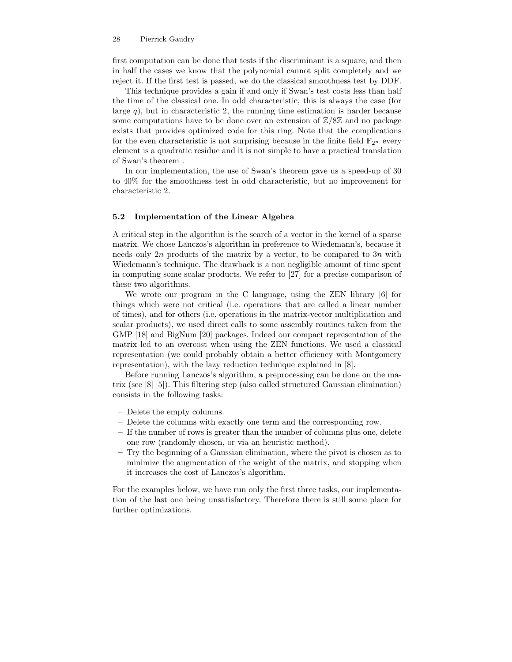first computation can be done that tests if the discriminant is a square, and then in half the cases we know that the polynomial cannot split completely and we reject it. If the first test is passed, we do the classical smoothness test by DDF.

This technique provides a gain if and only if Swan's test costs less than half the time of the classical one. In odd characteristic, this is always the case (for large  $q$ ), but in characteristic 2, the running time estimation is harder because some computations have to be done over an extension of  $\mathbb{Z}/8\mathbb{Z}$  and no package exists that provides optimized code for this ring. Note that the complications for the even characteristic is not surprising because in the finite field  $\mathbb{F}_{2^n}$  every element is a quadratic residue and it is not simple to have a practical translation of Swan's theorem .

In our implementation, the use of Swan's theorem gave us a speed-up of 30 to 40% for the smoothness test in odd characteristic, but no improvement for characteristic 2.

### 5.2 Implementation of the Linear Algebra

A critical step in the algorithm is the search of a vector in the kernel of a sparse matrix. We chose Lanczos's algorithm in preference to Wiedemann's, because it needs only 2n products of the matrix by a vector, to be compared to  $3n$  with Wiedemann's technique. The drawback is a non negligible amount of time spent in computing some scalar products. We refer to [27] for a precise comparison of these two algorithms.

We wrote our program in the C language, using the ZEN library [6] for things which were not critical (i.e. operations that are called a linear number of times), and for others (i.e. operations in the matrix-vector multiplication and scalar products), we used direct calls to some assembly routines taken from the GMP [18] and BigNum [20] packages. Indeed our compact representation of the matrix led to an overcost when using the ZEN functions. We used a classical representation (we could probably obtain a better efficiency with Montgomery representation), with the lazy reduction technique explained in [8].

Before running Lanczos's algorithm, a preprocessing can be done on the matrix (see [8] [5]). This filtering step (also called structured Gaussian elimination) consists in the following tasks:

- Delete the empty columns.
- Delete the columns with exactly one term and the corresponding row.
- If the number of rows is greater than the number of columns plus one, delete one row (randomly chosen, or via an heuristic method).
- Try the beginning of a Gaussian elimination, where the pivot is chosen as to minimize the augmentation of the weight of the matrix, and stopping when it increases the cost of Lanczos's algorithm.

For the examples below, we have run only the first three tasks, our implementation of the last one being unsatisfactory. Therefore there is still some place for further optimizations.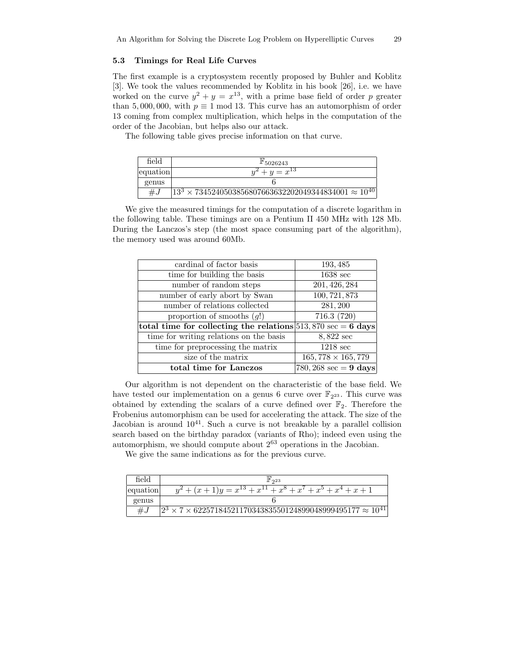### 5.3 Timings for Real Life Curves

The first example is a cryptosystem recently proposed by Buhler and Koblitz [3]. We took the values recommended by Koblitz in his book [26], i.e. we have worked on the curve  $y^2 + y = x^{13}$ , with a prime base field of order p greater than 5,000,000, with  $p \equiv 1 \mod 13$ . This curve has an automorphism of order 13 coming from complex multiplication, which helps in the computation of the order of the Jacobian, but helps also our attack.

The following table gives precise information on that curve.

| field    | $\mathbb{F}_{5026243}$                                                           |
|----------|----------------------------------------------------------------------------------|
| equation | $y^2 + y = x^{13}$                                                               |
| genus    |                                                                                  |
| $\#J$    | 123<br>$\times$ 7345240503856807663632202049344834001 $\approx$ 10 <sup>40</sup> |

We give the measured timings for the computation of a discrete logarithm in the following table. These timings are on a Pentium II 450 MHz with 128 Mb. During the Lanczos's step (the most space consuming part of the algorithm), the memory used was around 60Mb.

| cardinal of factor basis                                                       | 193, 485                               |
|--------------------------------------------------------------------------------|----------------------------------------|
| time for building the basis                                                    | $1638 \text{ sec}$                     |
| number of random steps                                                         | 201, 426, 284                          |
| number of early abort by Swan                                                  | 100, 721, 873                          |
| number of relations collected                                                  | 281, 200                               |
| proportion of smooths $(q!)$                                                   | 716.3 (720)                            |
| total time for collecting the relations $513,870 \text{ sec} = 6 \text{ days}$ |                                        |
| time for writing relations on the basis                                        | 8,822 sec                              |
| time for preprocessing the matrix                                              | $1218 \text{ sec}$                     |
| size of the matrix                                                             | $165,778 \times 165,779$               |
| total time for Lanczos                                                         | $780,268 \text{ sec} = 9 \text{ days}$ |

Our algorithm is not dependent on the characteristic of the base field. We have tested our implementation on a genus 6 curve over  $\mathbb{F}_{2^{23}}$ . This curve was obtained by extending the scalars of a curve defined over  $\mathbb{F}_2$ . Therefore the Frobenius automorphism can be used for accelerating the attack. The size of the Jacobian is around  $10^{41}$ . Such a curve is not breakable by a parallel collision search based on the birthday paradox (variants of Rho); indeed even using the automorphism, we should compute about 2 <sup>63</sup> operations in the Jacobian.

We give the same indications as for the previous curve.

| field    | $\mathbb{F}_{2^{23}}$                                                                 |
|----------|---------------------------------------------------------------------------------------|
| equation | $y^2 + (x+1)y = x^{13} + x^{11} + x^8 + x^7 + x^5 + x^4 + x + 1$                      |
| genus    |                                                                                       |
| $\#$ .   | $\sqrt{2^3 \times 7 \times 622571845211703438355012489904899}9495177 \approx 10^{41}$ |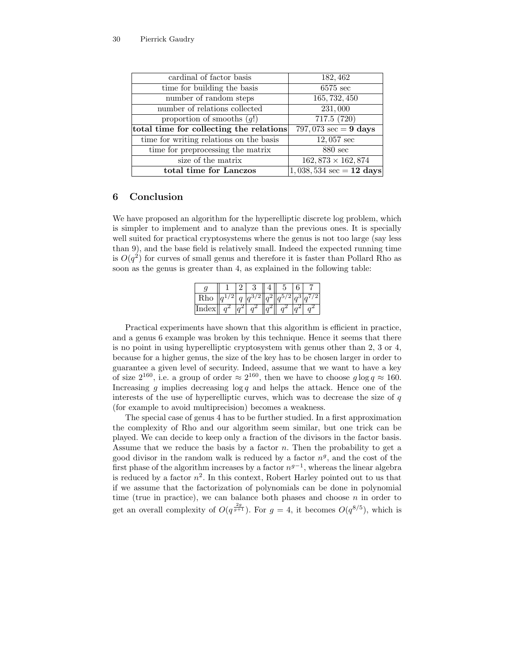| cardinal of factor basis                | 182, 462                                  |
|-----------------------------------------|-------------------------------------------|
| time for building the basis             | $6575 \text{ sec}$                        |
| number of random steps                  | 165, 732, 450                             |
| number of relations collected           | 231,000                                   |
| proportion of smooths $(q!)$            | 717.5 $(7\overline{20})$                  |
| total time for collecting the relations | 797,073 $\sec = 9$ days                   |
| time for writing relations on the basis | $12,057 \text{ sec}$                      |
| time for preprocessing the matrix       | $880 \text{ sec}$                         |
| size of the matrix                      | $162,873 \times 162,874$                  |
| total time for Lanczos                  | $1,038,534 \text{ sec} = 12 \text{ days}$ |

# 6 Conclusion

We have proposed an algorithm for the hyperelliptic discrete log problem, which is simpler to implement and to analyze than the previous ones. It is specially well suited for practical cryptosystems where the genus is not too large (say less than 9), and the base field is relatively small. Indeed the expected running time is  $O(q^2)$  for curves of small genus and therefore it is faster than Pollard Rho as soon as the genus is greater than 4, as explained in the following table:

| Rho   |  |  |  |  |
|-------|--|--|--|--|
| Index |  |  |  |  |

Practical experiments have shown that this algorithm is efficient in practice, and a genus 6 example was broken by this technique. Hence it seems that there is no point in using hyperelliptic cryptosystem with genus other than 2, 3 or 4, because for a higher genus, the size of the key has to be chosen larger in order to guarantee a given level of security. Indeed, assume that we want to have a key of size  $2^{160}$ , i.e. a group of order  $\approx 2^{160}$ , then we have to choose  $g \log q \approx 160$ . Increasing q implies decreasing  $\log q$  and helps the attack. Hence one of the interests of the use of hyperelliptic curves, which was to decrease the size of  $q$ (for example to avoid multiprecision) becomes a weakness.

The special case of genus 4 has to be further studied. In a first approximation the complexity of Rho and our algorithm seem similar, but one trick can be played. We can decide to keep only a fraction of the divisors in the factor basis. Assume that we reduce the basis by a factor  $n$ . Then the probability to get a good divisor in the random walk is reduced by a factor  $n<sup>g</sup>$ , and the cost of the first phase of the algorithm increases by a factor  $n^{g-1}$ , whereas the linear algebra is reduced by a factor  $n^2$ . In this context, Robert Harley pointed out to us that if we assume that the factorization of polynomials can be done in polynomial time (true in practice), we can balance both phases and choose  $n$  in order to get an overall complexity of  $O(q^{\frac{2g}{g+1}})$ . For  $g=4$ , it becomes  $O(q^{8/5})$ , which is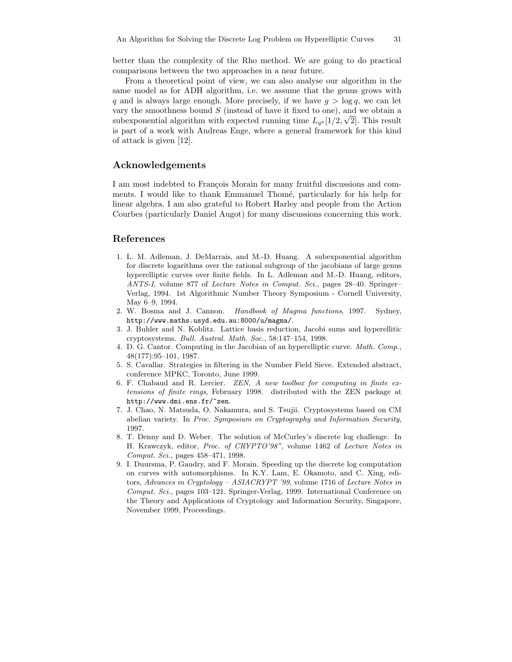better than the complexity of the Rho method. We are going to do practical comparisons between the two approaches in a near future.

From a theoretical point of view, we can also analyse our algorithm in the same model as for ADH algorithm, i.e. we assume that the genus grows with q and is always large enough. More precisely, if we have  $g > \log q$ , we can let vary the smoothness bound  $S$  (instead of have it fixed to one), and we obtain a subexponential algorithm with expected running time  $L_{qg}[1/2,\sqrt{2}]$ . This result is part of a work with Andreas Enge, where a general framework for this kind of attack is given [12].

# Acknowledgements

I am most indebted to François Morain for many fruitful discussions and comments. I would like to thank Emmanuel Thomé, particularly for his help for linear algebra. I am also grateful to Robert Harley and people from the Action Courbes (particularly Daniel Augot) for many discussions concerning this work.

# References

- 1. L. M. Adleman, J. DeMarrais, and M.-D. Huang. A subexponential algorithm for discrete logarithms over the rational subgroup of the jacobians of large genus hyperelliptic curves over finite fields. In L. Adleman and M.-D. Huang, editors, ANTS-I, volume 877 of Lecture Notes in Comput. Sci., pages 28–40. Springer– Verlag, 1994. 1st Algorithmic Number Theory Symposium - Cornell University, May 6–9, 1994.
- 2. W. Bosma and J. Cannon. Handbook of Magma functions, 1997. Sydney, http://www.maths.usyd.edu.au:8000/u/magma/.
- 3. J. Buhler and N. Koblitz. Lattice basis reduction, Jacobi sums and hyperellitic cryptosystems. Bull. Austral. Math. Soc., 58:147–154, 1998.
- 4. D. G. Cantor. Computing in the Jacobian of an hyperelliptic curve. Math. Comp., 48(177):95–101, 1987.
- 5. S. Cavallar. Strategies in filtering in the Number Field Sieve. Extended abstract, conference MPKC, Toronto, June 1999.
- 6. F. Chabaud and R. Lercier. ZEN, A new toolbox for computing in finite extensions of finite rings, February 1998. distributed with the ZEN package at http://www.dmi.ens.fr/~zen.
- 7. J. Chao, N. Matsuda, O. Nakamura, and S. Tsujii. Cryptosystems based on CM abelian variety. In Proc. Symposium on Cryptography and Information Security, 1997.
- 8. T. Denny and D. Weber. The solution of McCurley's discrete log challenge. In H. Krawczyk, editor, Proc. of CRYPTO'98", volume 1462 of Lecture Notes in Comput. Sci., pages 458–471, 1998.
- 9. I. Duursma, P. Gaudry, and F. Morain. Speeding up the discrete log computation on curves with automorphisms. In K.Y. Lam, E. Okamoto, and C. Xing, editors, Advances in Cryptology – ASIACRYPT '99, volume 1716 of Lecture Notes in Comput. Sci., pages 103–121. Springer-Verlag, 1999. International Conference on the Theory and Applications of Cryptology and Information Security, Singapore, November 1999, Proceedings.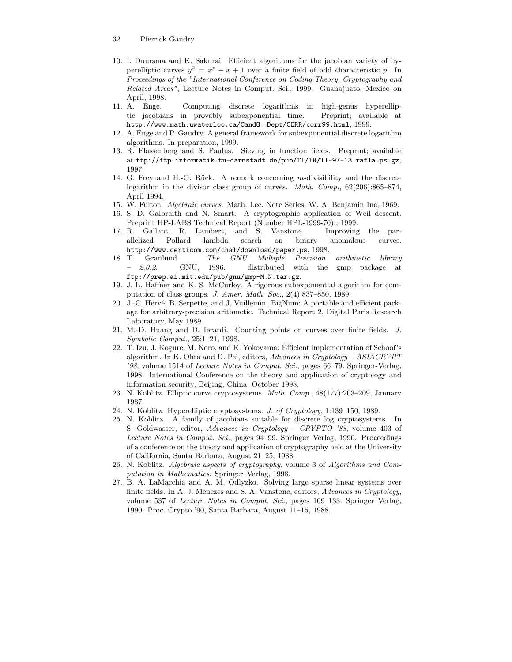- 32 Pierrick Gaudry
- 10. I. Duursma and K. Sakurai. Efficient algorithms for the jacobian variety of hyperelliptic curves  $y^2 = x^p - x + 1$  over a finite field of odd characteristic p. In Proceedings of the "International Conference on Coding Theory, Cryptography and Related Areas", Lecture Notes in Comput. Sci., 1999. Guanajuato, Mexico on April, 1998.
- 11. A. Enge. Computing discrete logarithms in high-genus hyperelliptic jacobians in provably subexponential time. Preprint; available at http://www.math.uwaterloo.ca/CandO\_Dept/CORR/corr99.html, 1999.
- 12. A. Enge and P. Gaudry. A general framework for subexponential discrete logarithm algorithms. In preparation, 1999.
- 13. R. Flassenberg and S. Paulus. Sieving in function fields. Preprint; available at ftp://ftp.informatik.tu-darmstadt.de/pub/TI/TR/TI-97-13.rafla.ps.gz, 1997.
- 14. G. Frey and H.-G. Rück. A remark concerning  $m$ -divisibility and the discrete logarithm in the divisor class group of curves. Math. Comp., 62(206):865–874, April 1994.
- 15. W. Fulton. Algebraic curves. Math. Lec. Note Series. W. A. Benjamin Inc, 1969.
- 16. S. D. Galbraith and N. Smart. A cryptographic application of Weil descent. Preprint HP-LABS Technical Report (Number HPL-1999-70)., 1999.
- 17. R. Gallant, R. Lambert, and S. Vanstone. Improving the parallelized Pollard lambda search on binary anomalous curves. http://www.certicom.com/chal/download/paper.ps, 1998.
- 18. T. Granlund. The GNU Multiple Precision arithmetic library – 2.0.2. GNU, 1996. distributed with the gmp package at ftp://prep.ai.mit.edu/pub/gnu/gmp-M.N.tar.gz.
- 19. J. L. Haffner and K. S. McCurley. A rigorous subexponential algorithm for computation of class groups. J. Amer. Math. Soc., 2(4):837–850, 1989.
- 20. J.-C. Hervé, B. Serpette, and J. Vuillemin. BigNum: A portable and efficient package for arbitrary-precision arithmetic. Technical Report 2, Digital Paris Research Laboratory, May 1989.
- 21. M.-D. Huang and D. Ierardi. Counting points on curves over finite fields. J. Symbolic Comput., 25:1–21, 1998.
- 22. T. Izu, J. Kogure, M. Noro, and K. Yokoyama. Efficient implementation of Schoof's algorithm. In K. Ohta and D. Pei, editors, Advances in Cryptology – ASIACRYPT '98, volume 1514 of Lecture Notes in Comput. Sci., pages 66–79. Springer-Verlag, 1998. International Conference on the theory and application of cryptology and information security, Beijing, China, October 1998.
- 23. N. Koblitz. Elliptic curve cryptosystems. Math. Comp., 48(177):203–209, January 1987.
- 24. N. Koblitz. Hyperelliptic cryptosystems. J. of Cryptology, 1:139–150, 1989.
- 25. N. Koblitz. A family of jacobians suitable for discrete log cryptosystems. In S. Goldwasser, editor, Advances in Cryptology – CRYPTO '88, volume 403 of Lecture Notes in Comput. Sci., pages 94–99. Springer–Verlag, 1990. Proceedings of a conference on the theory and application of cryptography held at the University of California, Santa Barbara, August 21–25, 1988.
- 26. N. Koblitz. Algebraic aspects of cryptography, volume 3 of Algorithms and Computation in Mathematics. Springer–Verlag, 1998.
- 27. B. A. LaMacchia and A. M. Odlyzko. Solving large sparse linear systems over finite fields. In A. J. Menezes and S. A. Vanstone, editors, Advances in Cryptology, volume 537 of Lecture Notes in Comput. Sci., pages 109–133. Springer–Verlag, 1990. Proc. Crypto '90, Santa Barbara, August 11–15, 1988.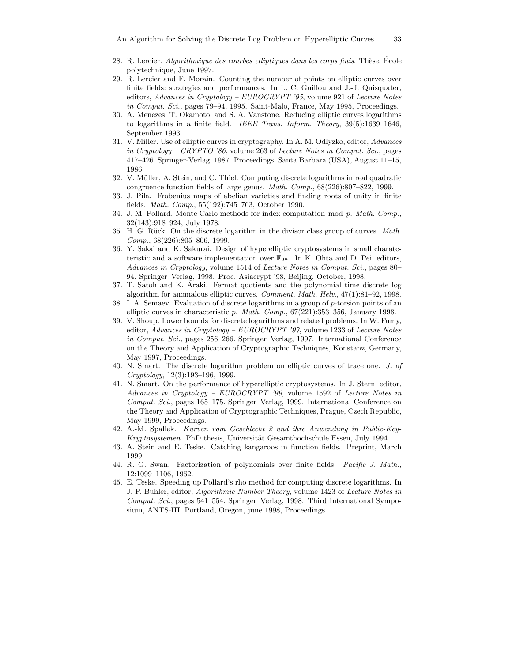- 28. R. Lercier. Algorithmique des courbes elliptiques dans les corps finis. Thèse, Ecole polytechnique, June 1997.
- 29. R. Lercier and F. Morain. Counting the number of points on elliptic curves over finite fields: strategies and performances. In L. C. Guillou and J.-J. Quisquater, editors, Advances in Cryptology – EUROCRYPT '95, volume 921 of Lecture Notes in Comput. Sci., pages 79–94, 1995. Saint-Malo, France, May 1995, Proceedings.
- 30. A. Menezes, T. Okamoto, and S. A. Vanstone. Reducing elliptic curves logarithms to logarithms in a finite field. IEEE Trans. Inform. Theory, 39(5):1639–1646, September 1993.
- 31. V. Miller. Use of elliptic curves in cryptography. In A. M. Odlyzko, editor, Advances in Cryptology – CRYPTO '86, volume 263 of Lecture Notes in Comput. Sci., pages 417–426. Springer-Verlag, 1987. Proceedings, Santa Barbara (USA), August 11–15, 1986.
- 32. V. Müller, A. Stein, and C. Thiel. Computing discrete logarithms in real quadratic congruence function fields of large genus. Math. Comp., 68(226):807–822, 1999.
- 33. J. Pila. Frobenius maps of abelian varieties and finding roots of unity in finite fields. Math. Comp., 55(192):745–763, October 1990.
- 34. J. M. Pollard. Monte Carlo methods for index computation mod p. Math. Comp., 32(143):918–924, July 1978.
- 35. H. G. Rück. On the discrete logarithm in the divisor class group of curves. Math. Comp., 68(226):805–806, 1999.
- 36. Y. Sakai and K. Sakurai. Design of hyperelliptic cryptosystems in small charatcteristic and a software implementation over  $\mathbb{F}_{2^n}$ . In K. Ohta and D. Pei, editors, Advances in Cryptology, volume 1514 of Lecture Notes in Comput. Sci., pages 80– 94. Springer–Verlag, 1998. Proc. Asiacrypt '98, Beijing, October, 1998.
- 37. T. Satoh and K. Araki. Fermat quotients and the polynomial time discrete log algorithm for anomalous elliptic curves. Comment. Math. Helv., 47(1):81–92, 1998.
- 38. I. A. Semaev. Evaluation of discrete logarithms in a group of p-torsion points of an elliptic curves in characteristic p. Math. Comp., 67(221):353–356, January 1998.
- 39. V. Shoup. Lower bounds for discrete logarithms and related problems. In W. Fumy, editor, Advances in Cryptology – EUROCRYPT '97, volume 1233 of Lecture Notes in Comput. Sci., pages 256–266. Springer–Verlag, 1997. International Conference on the Theory and Application of Cryptographic Techniques, Konstanz, Germany, May 1997, Proceedings.
- 40. N. Smart. The discrete logarithm problem on elliptic curves of trace one. J. of Cryptology, 12(3):193–196, 1999.
- 41. N. Smart. On the performance of hyperelliptic cryptosystems. In J. Stern, editor, Advances in Cryptology – EUROCRYPT '99, volume 1592 of Lecture Notes in Comput. Sci., pages 165–175. Springer–Verlag, 1999. International Conference on the Theory and Application of Cryptographic Techniques, Prague, Czech Republic, May 1999, Proceedings.
- 42. A.-M. Spallek. Kurven vom Geschlecht 2 und ihre Anwendung in Public-Key-Kryptosystemen. PhD thesis, Universität Gesamthochschule Essen, July 1994.
- 43. A. Stein and E. Teske. Catching kangaroos in function fields. Preprint, March 1999.
- 44. R. G. Swan. Factorization of polynomials over finite fields. Pacific J. Math., 12:1099–1106, 1962.
- 45. E. Teske. Speeding up Pollard's rho method for computing discrete logarithms. In J. P. Buhler, editor, Algorithmic Number Theory, volume 1423 of Lecture Notes in Comput. Sci., pages 541–554. Springer–Verlag, 1998. Third International Symposium, ANTS-III, Portland, Oregon, june 1998, Proceedings.